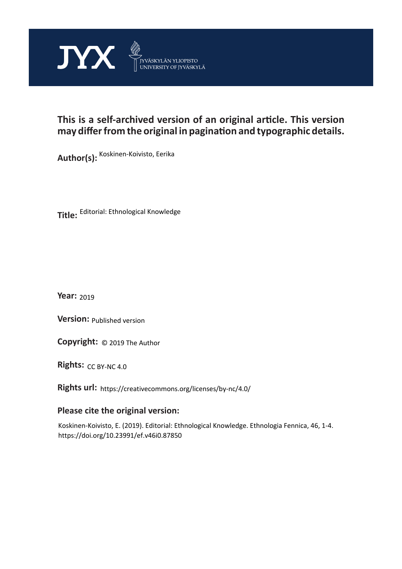

## **This is a self-archived version of an original article. This version may differ from the original in pagination and typographic details.**

**Author(s):**  Koskinen-Koivisto, Eerika

**Title:**  Editorial: Ethnological Knowledge

**Year:**  2019

**Version: Published version** 

**Version:** Published version<br>**Copyright:** © 2019 The Author

Rights: CC BY-NC 4.0

**Rights url:**  https://creativecommons.org/licenses/by-nc/4.0/

## **Please cite the original version:**

Koskinen-Koivisto, E. (2019). Editorial: Ethnological Knowledge. Ethnologia Fennica, 46, 1-4. https://doi.org/10.23991/ef.v46i0.87850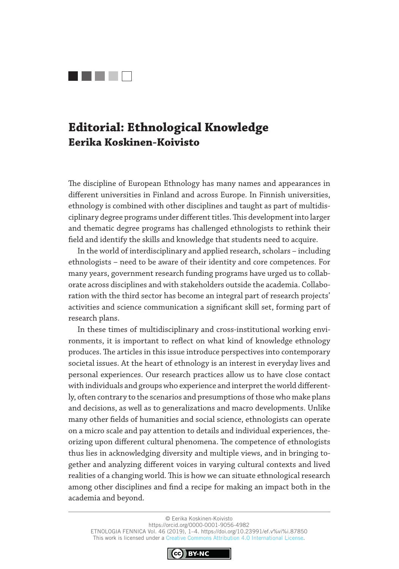

## **Editorial: Ethnological Knowledge Eerika Koskinen-Koivisto**

The discipline of European Ethnology has many names and appearances in different universities in Finland and across Europe. In Finnish universities, ethnology is combined with other disciplines and taught as part of multidisciplinary degree programs under different titles. This development into larger and thematic degree programs has challenged ethnologists to rethink their field and identify the skills and knowledge that students need to acquire.

In the world of interdisciplinary and applied research, scholars – including ethnologists – need to be aware of their identity and core competences. For many years, government research funding programs have urged us to collaborate across disciplines and with stakeholders outside the academia. Collaboration with the third sector has become an integral part of research projects' activities and science communication a significant skill set, forming part of research plans.

In these times of multidisciplinary and cross-institutional working environments, it is important to reflect on what kind of knowledge ethnology produces. The articles in this issue introduce perspectives into contemporary societal issues. At the heart of ethnology is an interest in everyday lives and personal experiences. Our research practices allow us to have close contact with individuals and groups who experience and interpret the world differently, often contrary to the scenarios and presumptions of those who make plans and decisions, as well as to generalizations and macro developments. Unlike many other fields of humanities and social science, ethnologists can operate on a micro scale and pay attention to details and individual experiences, theorizing upon different cultural phenomena. The competence of ethnologists thus lies in acknowledging diversity and multiple views, and in bringing together and analyzing different voices in varying cultural contexts and lived realities of a changing world. This is how we can situate ethnological research among other disciplines and find a recipe for making an impact both in the academia and beyond.

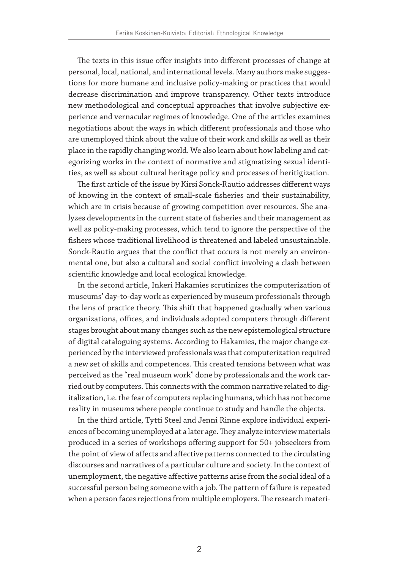The texts in this issue offer insights into different processes of change at personal, local, national, and international levels. Many authors make suggestions for more humane and inclusive policy-making or practices that would decrease discrimination and improve transparency. Other texts introduce new methodological and conceptual approaches that involve subjective experience and vernacular regimes of knowledge. One of the articles examines negotiations about the ways in which different professionals and those who are unemployed think about the value of their work and skills as well as their place in the rapidly changing world. We also learn about how labeling and categorizing works in the context of normative and stigmatizing sexual identities, as well as about cultural heritage policy and processes of heritigization.

The first article of the issue by Kirsi Sonck-Rautio addresses different ways of knowing in the context of small-scale fisheries and their sustainability, which are in crisis because of growing competition over resources. She analyzes developments in the current state of fisheries and their management as well as policy-making processes, which tend to ignore the perspective of the fishers whose traditional livelihood is threatened and labeled unsustainable. Sonck-Rautio argues that the conflict that occurs is not merely an environmental one, but also a cultural and social conflict involving a clash between scientific knowledge and local ecological knowledge.

In the second article, Inkeri Hakamies scrutinizes the computerization of museums' day-to-day work as experienced by museum professionals through the lens of practice theory. This shift that happened gradually when various organizations, offices, and individuals adopted computers through different stages brought about many changes such as the new epistemological structure of digital cataloguing systems. According to Hakamies, the major change experienced by the interviewed professionals was that computerization required a new set of skills and competences. This created tensions between what was perceived as the "real museum work" done by professionals and the work carried out by computers. This connects with the common narrative related to digitalization, i.e. the fear of computers replacing humans, which has not become reality in museums where people continue to study and handle the objects.

In the third article, Tytti Steel and Jenni Rinne explore individual experiences of becoming unemployed at a later age. They analyze interview materials produced in a series of workshops offering support for 50+ jobseekers from the point of view of affects and affective patterns connected to the circulating discourses and narratives of a particular culture and society. In the context of unemployment, the negative affective patterns arise from the social ideal of a successful person being someone with a job. The pattern of failure is repeated when a person faces rejections from multiple employers. The research materi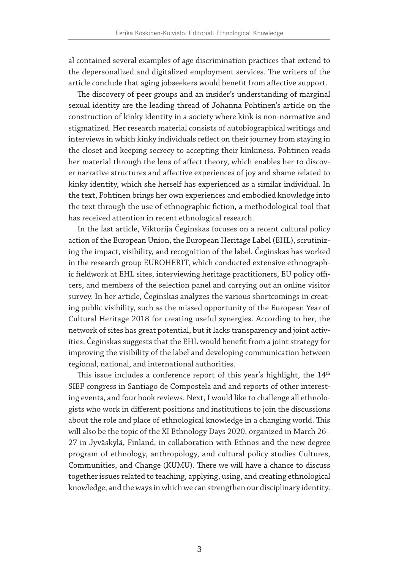al contained several examples of age discrimination practices that extend to the depersonalized and digitalized employment services. The writers of the article conclude that aging jobseekers would benefit from affective support.

The discovery of peer groups and an insider's understanding of marginal sexual identity are the leading thread of Johanna Pohtinen's article on the construction of kinky identity in a society where kink is non-normative and stigmatized. Her research material consists of autobiographical writings and interviews in which kinky individuals reflect on their journey from staying in the closet and keeping secrecy to accepting their kinkiness. Pohtinen reads her material through the lens of affect theory, which enables her to discover narrative structures and affective experiences of joy and shame related to kinky identity, which she herself has experienced as a similar individual. In the text, Pohtinen brings her own experiences and embodied knowledge into the text through the use of ethnographic fiction, a methodological tool that has received attention in recent ethnological research.

In the last article, Viktorija Čeginskas focuses on a recent cultural policy action of the European Union, the European Heritage Label (EHL), scrutinizing the impact, visibility, and recognition of the label. Čeginskas has worked in the research group EUROHERIT, which conducted extensive ethnographic fieldwork at EHL sites, interviewing heritage practitioners, EU policy officers, and members of the selection panel and carrying out an online visitor survey. In her article, Čeginskas analyzes the various shortcomings in creating public visibility, such as the missed opportunity of the European Year of Cultural Heritage 2018 for creating useful synergies. According to her, the network of sites has great potential, but it lacks transparency and joint activities. Čeginskas suggests that the EHL would benefit from a joint strategy for improving the visibility of the label and developing communication between regional, national, and international authorities.

This issue includes a conference report of this year's highlight, the 14<sup>th</sup> SIEF congress in Santiago de Compostela and and reports of other interesting events, and four book reviews. Next, I would like to challenge all ethnologists who work in different positions and institutions to join the discussions about the role and place of ethnological knowledge in a changing world. This will also be the topic of the XI Ethnology Days 2020, organized in March 26– 27 in Jyväskylä, Finland, in collaboration with Ethnos and the new degree program of ethnology, anthropology, and cultural policy studies Cultures, Communities, and Change (KUMU). There we will have a chance to discuss together issues related to teaching, applying, using, and creating ethnological knowledge, and the ways in which we can strengthen our disciplinary identity.